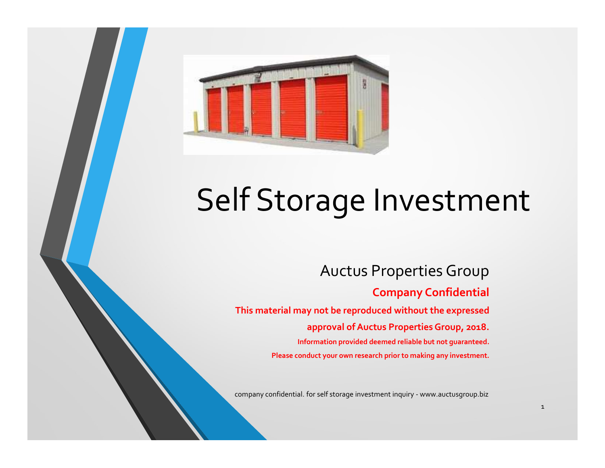

# Self Storage Investment FITTYCS LITTCTIL<br>
AUCTUS Properties Group<br>
Company Confidential<br>
This material may not be reproduced without the expressed<br>
approval of Auctus Properties Group, 2018.<br>
Information provided deemed reliable but not guarantee

#### Auctus Properties Group

#### Company Confidential

This material may not be reproduced without the expressed

approval of Auctus Properties Group, 2018.

Information provided deemed reliable but not guaranteed. Please conduct your own research prior to making any investment.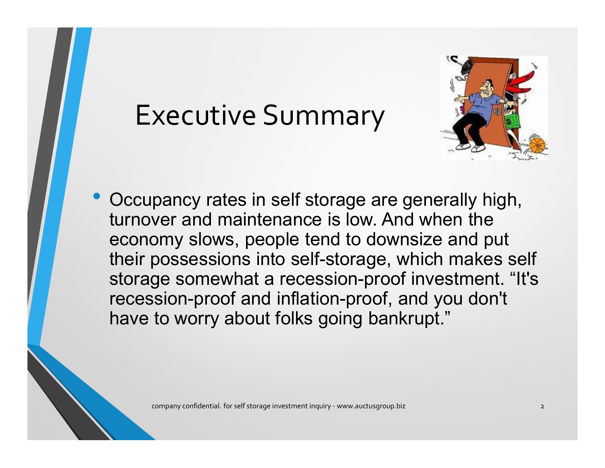## Executive Summary



• Occupancy rates in self storage are generally high, turnover and maintenance is low. And when the Executive Summary<br>
Cocupancy rates in self storage are generally high,<br>
turnover and maintenance is low. And when the<br>
economy slows, people tend to downsize and put<br>
their possessions into self-storage, which makes self<br> their possessions into self-storage, which makes self storage somewhat a recession-proof investment. "It's recession-proof and inflation-proof, and you don't have to worry about folks going bankrupt." ver and maintenance is low. And when the<br>omy slows, people tend to downsize and put<br>possessions into self-storage, which makes self<br>ge somewhat a recession-proof investment. "It's<br>sion-proof and inflation-proof, and you do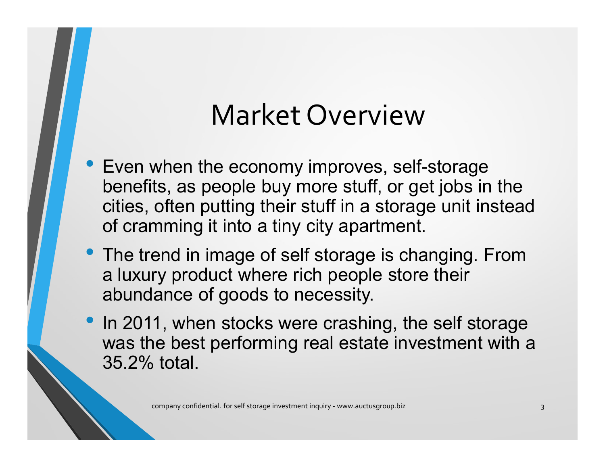## Market Overview

- Even when the economy improves, self-storage benefits, as people buy more stuff, or get jobs in the cities, often putting their stuff in a storage unit instead of cramming it into a tiny city apartment.
- The trend in image of self storage is changing. From a luxury product where rich people store their abundance of goods to necessity.
- In 2011, when stocks were crashing, the self storage was the best performing real estate investment with a 35.2% total. mming it into a tiny city apartment.<br>
end in image of self storage is changing. From<br>
ry product where rich people store their<br>
lance of goods to necessity.<br>
1, when stocks were crashing, the self storage<br>
ie best performi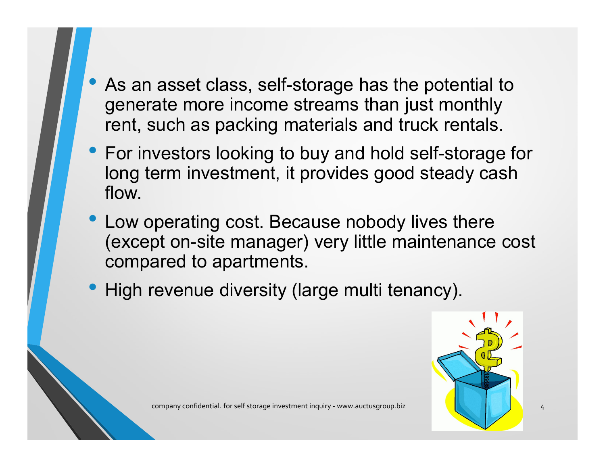- As an asset class, self-storage has the potential to generate more income streams than just monthly rent, such as packing materials and truck rentals.
- As an asset class, self-storage has the potential to<br>generate more income streams than just monthly<br>rent, such as packing materials and truck rentals.<br>• For investors looking to buy and hold self-storage for<br>long term in long term investment, it provides good steady cash flow.
- Low operating cost. Because nobody lives there (except on-site manager) very little maintenance cost compared to apartments. perating cost. Because nobody lives there<br>pt on-site manager) very little maintenance cost<br>ared to apartments.<br>
revenue diversity (large multi tenancy).<br>
<br>
company confidential. for self storage investment inquiry - www.au
- High revenue diversity (large multi tenancy).

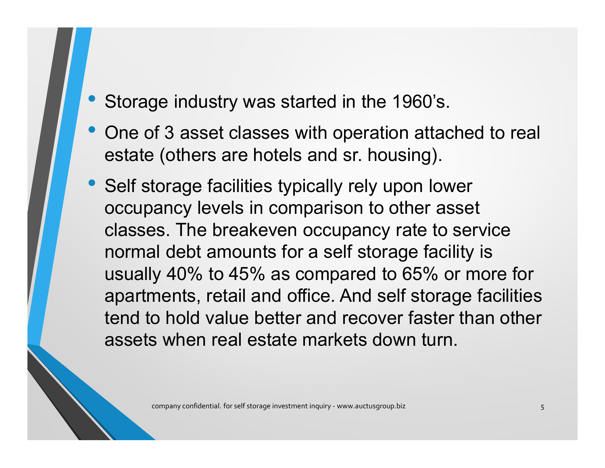- Storage industry was started in the 1960's.
- One of 3 asset classes with operation attached to real estate (others are hotels and sr. housing).
- Self storage facilities typically rely upon lower occupancy levels in comparison to other asset classes. The breakeven occupancy rate to service normal debt amounts for a self storage facility is usually 40% to 45% as compared to 65% or more for apartments, retail and office. And self storage facilities tend to hold value better and recover faster than other assets when real estate markets down turn. es. The breakeven occupancy rate to service<br>al debt amounts for a self storage facility is<br>y 40% to 45% as compared to 65% or more for<br>ments, retail and office. And self storage facilities<br>to hold value better and recover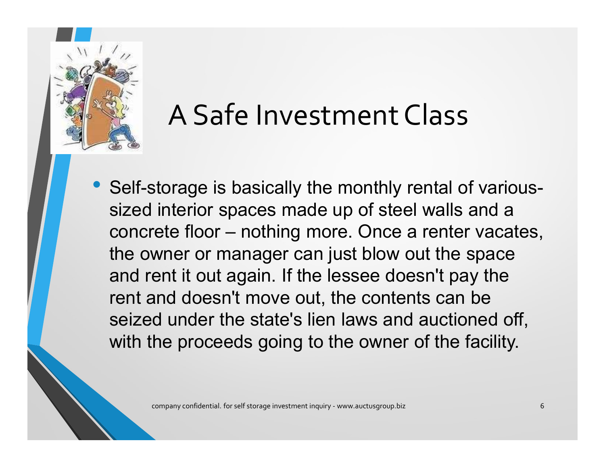

# A Safe Investment Class

• Self-storage is basically the monthly rental of varioussized interior spaces made up of steel walls and a Example 11 Mest ment Class<br>Self-storage is basically the monthly rental of various-<br>sized interior spaces made up of steel walls and a<br>concrete floor – nothing more. Once a renter vacates,<br>the owner or manager can just bl the owner or manager can just blow out the space and rent it out again. If the lessee doesn't pay the rent and doesn't move out, the contents can be seized under the state's lien laws and auctioned off, with the proceeds going to the owner of the facility. company confidential. for self storage investment inquiry - www.auctusgroup.biz expression of the company confidential. for self storage investment inquiry - www.auctusgroup.biz expression of the company confidential. for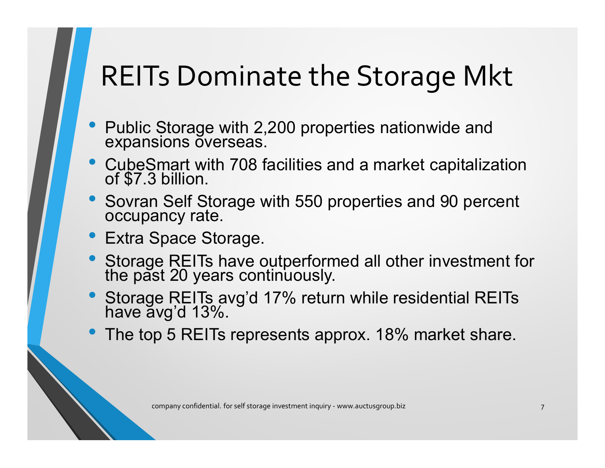# REITs Dominate the Storage Mkt

- Public Storage with 2,200 properties nationwide and expansions overseas.
- CubeSmart with 708 facilities and a market capitalization of \$7.3 billion.
- Sovran Self Storage with 550 properties and 90 percent occupancy rate.
- Extra Space Storage.
- Storage REITs have outperformed all other investment for the past 20 years continuously. ancy rate.<br>Space Storage.<br>Je REITs have outperformed all other investment for<br>st 20 years continuously.<br>ap REITs avg'd 17% return while residential REITs<br>avg'd 13%.<br>p 5 REITs represents approx. 18% market share.<br>company co
- Storage REITs avg'd 17% return while residential REITs have avg'd 13%.
- The top 5 REITs represents approx. 18% market share.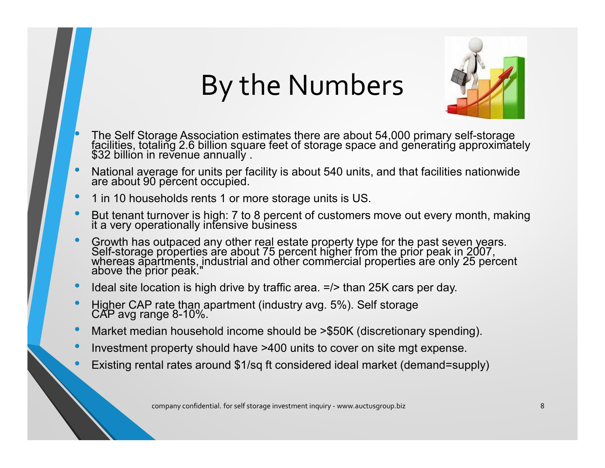# By the Numbers



- The Self Storage Association estimates there are about 54,000 primary self-storage facilities, totaling 2.6 billion square feet of storage space and generating approximately<br>\$32 billion in revenue annually .
- National average for units per facility is about 540 units, and that facilities nationwide are about 90 percent occupied.
- 1 in 10 households rents 1 or more storage units is US.
- But tenant turnover is high: 7 to 8 percent of customers move out every month, making it a very operationally intensive business
- Growth has outpaced any other real estate property type for the past seven years.<br>Self-storage properties are about 75 percent higher from the prior peak in 2007,<br>whereas apartments, industrial and other commercial prope urnover is mign: ? to 8 percent of customers move out every montn, making<br>erationally intensive business<br>outpaced any other real estate property type for the past seven years.<br>properties are about 75 percent higher from th
- Ideal site location is high drive by traffic area.  $\epsilon$  =/> than 25K cars per day.
- Higher CAP rate than apartment (industry avg. 5%). Self storage CAP avg range 8-10%.
- Market median household income should be >\$50K (discretionary spending).
- Investment property should have >400 units to cover on site mgt expense.
- Existing rental rates around \$1/sq ft considered ideal market (demand=supply)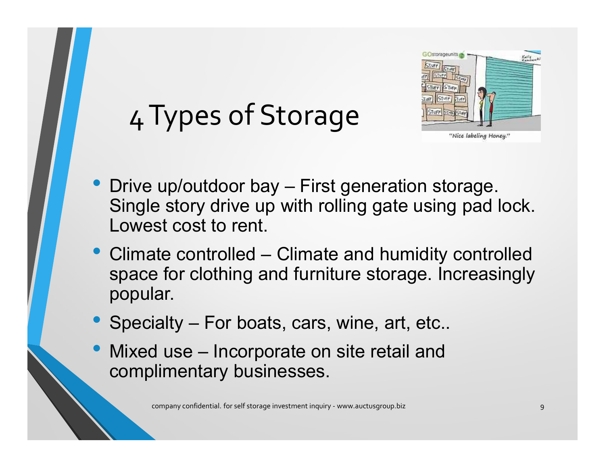

# 4 Types of Storage

- example 1<br>
4 Types of Storage.<br>
 Drive up/outdoor bay First generation storage.<br>
Single story drive up with rolling gate using pad lock.<br>
Lowest cost to rent. Single story drive up with rolling gate using pad lock. Lowest cost to rent. • Climate controlled – Climate and humidity controlled space for clothing and furniture storage. The controlled space for clothing and furniture storage. Increasingly popular. • Drive up/outdoor bay – First generation storage.<br>
• Single story drive up with rolling gate using pad loc<br>
Lowest cost to rent.<br>
• Climate controlled – Climate and humidity controll<br>
space for clothing and furniture stor • Drive up/outdoor bay – First generation storage.<br>
Single story drive up with rolling gate using pad loc<br>
Lowest cost to rent.<br>
• Climate controlled – Climate and humidity controlle<br>
space for clothing and furniture stora
- space for clothing and furniture storage. Increasingly popular. company confidential. for self storage investment inquiry - www.auctusgroup.biz 9 and the company confidential. for self storage investment inquiry - www.auctusgroup.biz 9 and 0.000 mpany confidential. for self storage inv
- 
- complimentary businesses.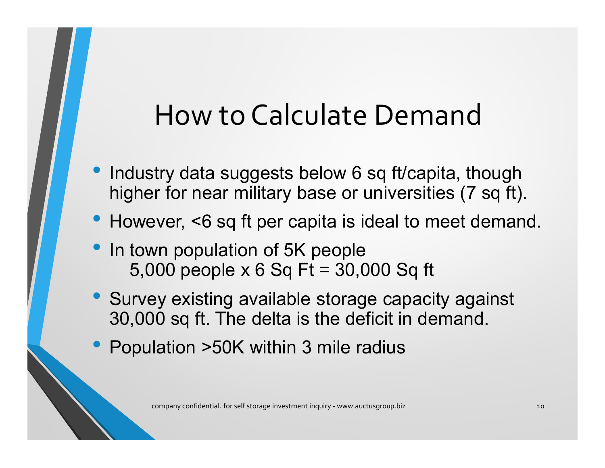# How to Calculate Demand

- Industry data suggests below 6 sq ft/capita, though higher for near military base or universities (7 sq ft).
- However, <6 sq ft per capita is ideal to meet demand.
- In town population of 5K people 5,000 people x 6 Sq Ft = 30,000 Sq ft
- Survey existing available storage capacity against 30,000 sq ft. The delta is the deficit in demand. ever, <6 sq ft per capita is ideal to meet demand.<br>
wn population of 5K people<br>
000 people x 6 Sq Ft = 30,000 Sq ft<br>
ey existing available storage capacity against<br>
00 sq ft. The delta is the deficit in demand.<br>
lation >50
- Population >50K within 3 mile radius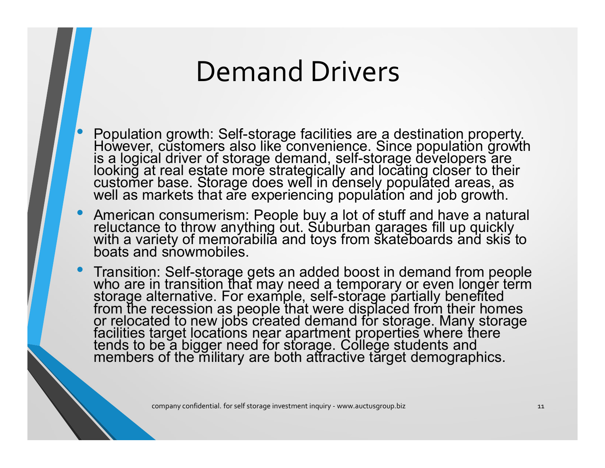#### Demand Drivers

- **Population growth: Self-storage facilities are a destination property.**<br>• Population growth: Self-storage facilities are a destination property.<br>• However, customers also like convenience. Since population growth<br>lookin is a logical driver of storage demand, self-storage developers are looking at real estate more strategically and locating closer to their<br>customer base. Storage does well in densely populated areas, as<br>well as markets that are experiencing population and job growth. **Demand Drivers**<br> **Propulation growth: Self-storage facilities are a destination property.**<br>
However, customers also like convenience. Since population growth<br>
is a logical driver of storage demand, self-storage developers • For the storage facilities are a destination property.<br>
However, customers also like convenience. Since population growth<br>
is a logical driver of storage demand, self-storage developers are<br>
looking at real estate more s
- 
- from the recession as people that were displaced from their homes<br>or relocated to new jobs created demand for storage. Many storage facilities target locations near apartment properties where there tends to be a bigger need for storage. College students and<br>members of the military are both attractive target demographics. company confidential. for self storage investment inquiry - www.auctusgroup.biz and the company confidential. For state included boost in demand from people is an added boost in demand from people term in transition than m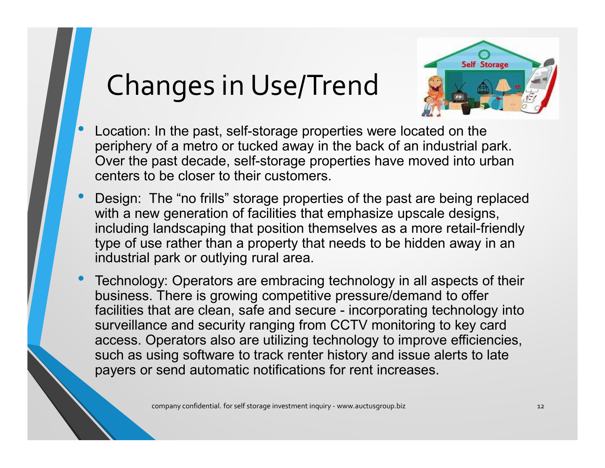# Changes in Use/Trend



- Location: In the past, self-storage properties were located on the periphery of a metro or tucked away in the back of an industrial park. Over the past decade, self-storage properties have moved into urban centers to be periphery of a metro or tucked away in the back of an industrial park. Over the past decade, self-storage properties have moved into urban centers to be closer to their customers.
- Location: In the past, self-storage properties were located on the periphery of a metro or tucked away in the back of an industrial park. Over the past decade, self-storage properties have moved into urban centers to be with a new generation of facilities that emphasize upscale designs, including landscaping that position themselves as a more retail-friendly type of use rather than a property that needs to be hidden away in an industrial park or outlying rural area. • Changes in Use/ Irena are located on the periphery of a metro or tucked away in the back of an industrial park.<br>
Over the past decade, self-storage properties have moved into urban<br>
centers to be closer to their customer
- business. There is growing competitive pressure/demand to offer Location: In the past, self-storage properties were located on the<br>periphery of a metro or tucked away in the back of an industrial park.<br>Over the past decade, self-storage properties have moved into urban<br>centers to be cl surveillance and security ranging from CCTV monitoring to key card access. Operators also are utilizing technology to improve efficiencies, such as using software to track renter history and issue alerts to late payers or send automatic notifications for rent increases. We element on Tactumes that emphasize upself storage investment inquiry -<br>landscaping that position themselves as a more retail-friendly<br>be rather than a property that needs to be hidden away in an<br>park or outlying rural a